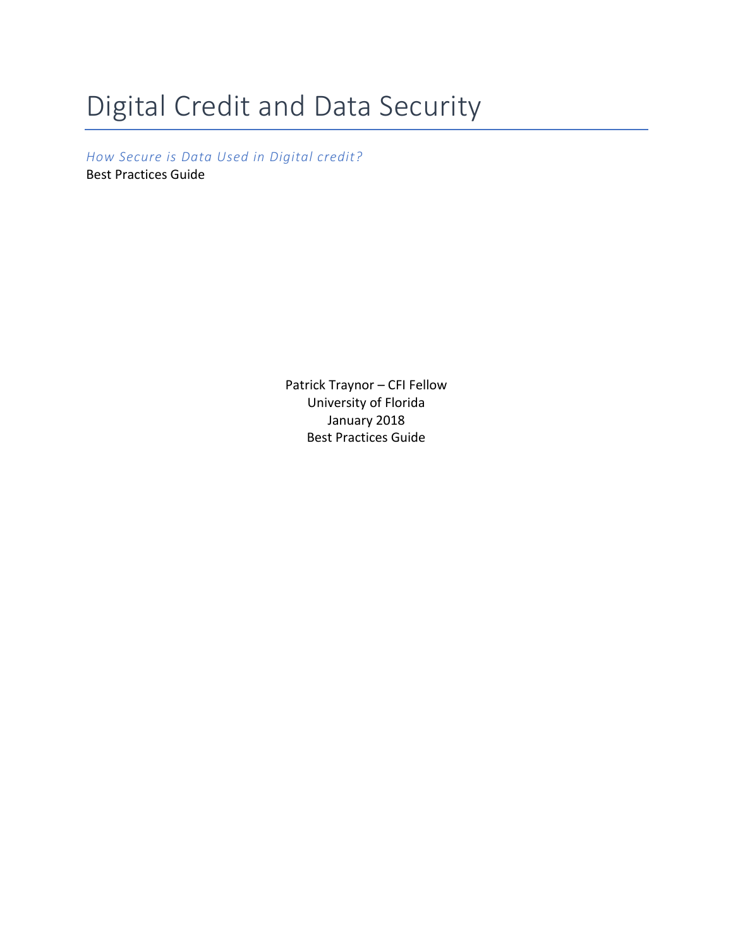# Digital Credit and Data Security

*How Secure is Data Used in Digital credit?* Best Practices Guide

> Patrick Traynor – CFI Fellow University of Florida January 2018 Best Practices Guide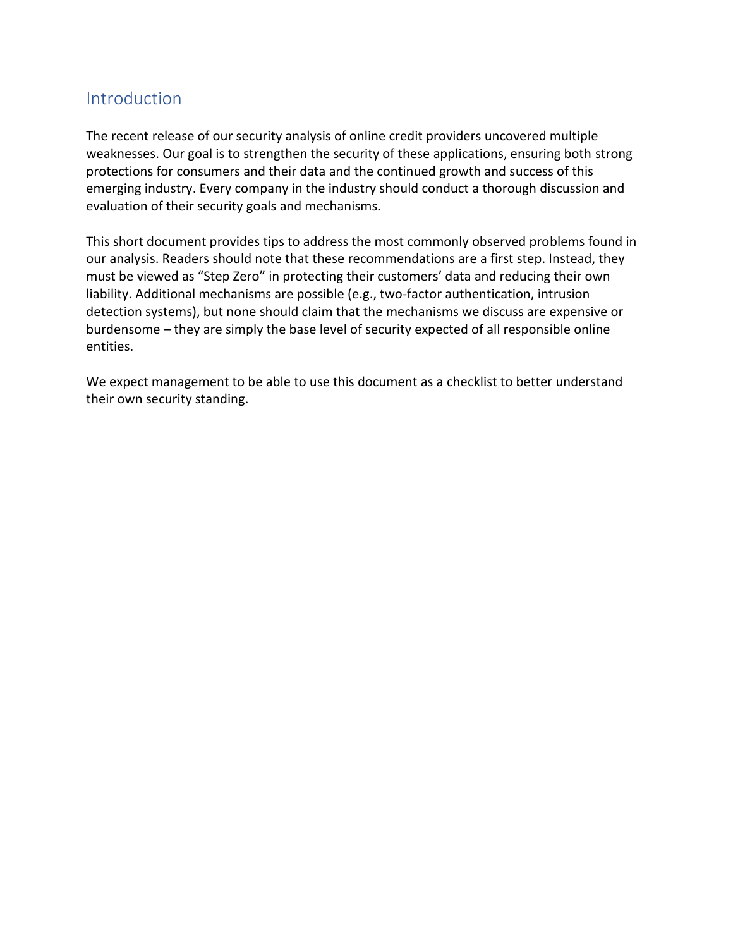#### Introduction

The recent release of our security analysis of online credit providers uncovered multiple weaknesses. Our goal is to strengthen the security of these applications, ensuring both strong protections for consumers and their data and the continued growth and success of this emerging industry. Every company in the industry should conduct a thorough discussion and evaluation of their security goals and mechanisms.

This short document provides tips to address the most commonly observed problems found in our analysis. Readers should note that these recommendations are a first step. Instead, they must be viewed as "Step Zero" in protecting their customers' data and reducing their own liability. Additional mechanisms are possible (e.g., two-factor authentication, intrusion detection systems), but none should claim that the mechanisms we discuss are expensive or burdensome – they are simply the base level of security expected of all responsible online entities.

We expect management to be able to use this document as a checklist to better understand their own security standing.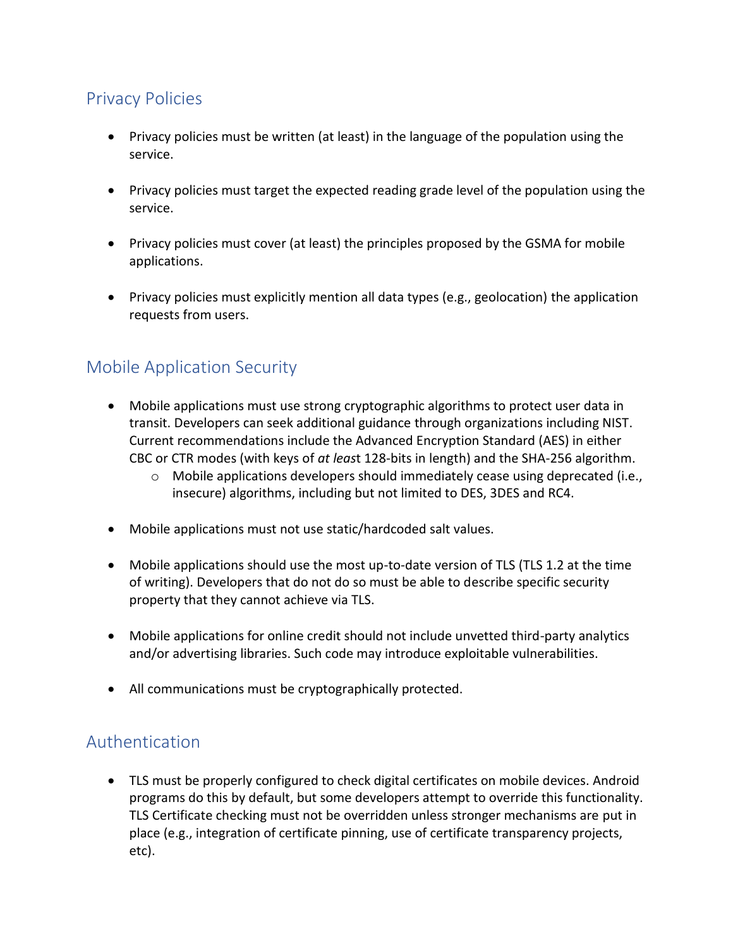### Privacy Policies

- Privacy policies must be written (at least) in the language of the population using the service.
- Privacy policies must target the expected reading grade level of the population using the service.
- Privacy policies must cover (at least) the principles proposed by the GSMA for mobile applications.
- Privacy policies must explicitly mention all data types (e.g., geolocation) the application requests from users.

#### Mobile Application Security

- Mobile applications must use strong cryptographic algorithms to protect user data in transit. Developers can seek additional guidance through organizations including NIST. Current recommendations include the Advanced Encryption Standard (AES) in either CBC or CTR modes (with keys of *at leas*t 128-bits in length) and the SHA-256 algorithm.
	- $\circ$  Mobile applications developers should immediately cease using deprecated (i.e., insecure) algorithms, including but not limited to DES, 3DES and RC4.
- Mobile applications must not use static/hardcoded salt values.
- Mobile applications should use the most up-to-date version of TLS (TLS 1.2 at the time of writing). Developers that do not do so must be able to describe specific security property that they cannot achieve via TLS.
- Mobile applications for online credit should not include unvetted third-party analytics and/or advertising libraries. Such code may introduce exploitable vulnerabilities.
- All communications must be cryptographically protected.

#### Authentication

 TLS must be properly configured to check digital certificates on mobile devices. Android programs do this by default, but some developers attempt to override this functionality. TLS Certificate checking must not be overridden unless stronger mechanisms are put in place (e.g., integration of certificate pinning, use of certificate transparency projects, etc).